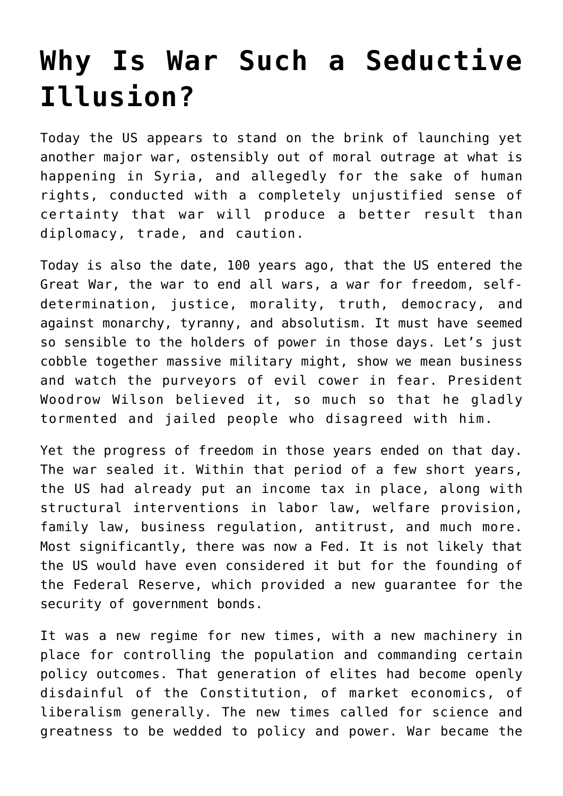## **[Why Is War Such a Seductive](https://intellectualtakeout.org/2017/04/why-is-war-such-a-seductive-illusion/) [Illusion?](https://intellectualtakeout.org/2017/04/why-is-war-such-a-seductive-illusion/)**

Today the US appears to stand on the brink of launching yet another major war, ostensibly out of moral outrage at what is happening in Syria, and allegedly for the sake of human rights, conducted with a completely unjustified sense of certainty that war will produce a better result than diplomacy, trade, and caution.

Today is also the date, 100 years ago, that the US entered the Great War, the war to end all wars, a war for freedom, selfdetermination, justice, morality, truth, democracy, and against monarchy, tyranny, and absolutism. It must have seemed so sensible to the holders of power in those days. Let's just cobble together massive military might, show we mean business and watch the purveyors of evil cower in fear. President Woodrow Wilson believed it, so much so that he gladly tormented and jailed people who disagreed with him.

Yet the progress of freedom in those years ended on that day. The war sealed it. Within that period of a few short years, the US had already put an income tax in place, along with structural interventions in labor law, welfare provision, family law, business regulation, antitrust, and much more. Most significantly, there was now a Fed. It is not likely that the US would have even considered it but for the founding of the Federal Reserve, which provided a new guarantee for the security of government bonds.

It was a new regime for new times, with a new machinery in place for controlling the population and commanding certain policy outcomes. That generation of elites had become openly disdainful of the Constitution, of market economics, of liberalism generally. The new times called for science and greatness to be wedded to policy and power. War became the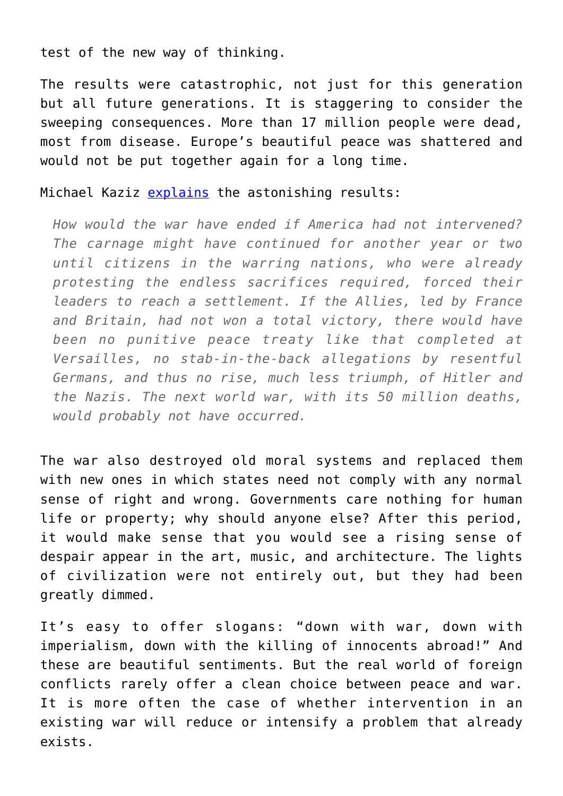test of the new way of thinking.

The results were catastrophic, not just for this generation but all future generations. It is staggering to consider the sweeping consequences. More than 17 million people were dead, most from disease. Europe's beautiful peace was shattered and would not be put together again for a long time.

## Michael Kaziz [explains](https://www.nytimes.com/2017/04/06/opinion/should-america-have-entered-world-war-i.html?ref=opinion&_r=0) the astonishing results:

*How would the war have ended if America had not intervened? The carnage might have continued for another year or two until citizens in the warring nations, who were already protesting the endless sacrifices required, forced their leaders to reach a settlement. If the Allies, led by France and Britain, had not won a total victory, there would have been no punitive peace treaty like that completed at Versailles, no stab-in-the-back allegations by resentful Germans, and thus no rise, much less triumph, of Hitler and the Nazis. The next world war, with its 50 million deaths, would probably not have occurred.*

The war also destroyed old moral systems and replaced them with new ones in which states need not comply with any normal sense of right and wrong. Governments care nothing for human life or property; why should anyone else? After this period, it would make sense that you would see a rising sense of despair appear in the art, music, and architecture. The lights of civilization were not entirely out, but they had been greatly dimmed.

It's easy to offer slogans: "down with war, down with imperialism, down with the killing of innocents abroad!" And these are beautiful sentiments. But the real world of foreign conflicts rarely offer a clean choice between peace and war. It is more often the case of whether intervention in an existing war will reduce or intensify a problem that already exists.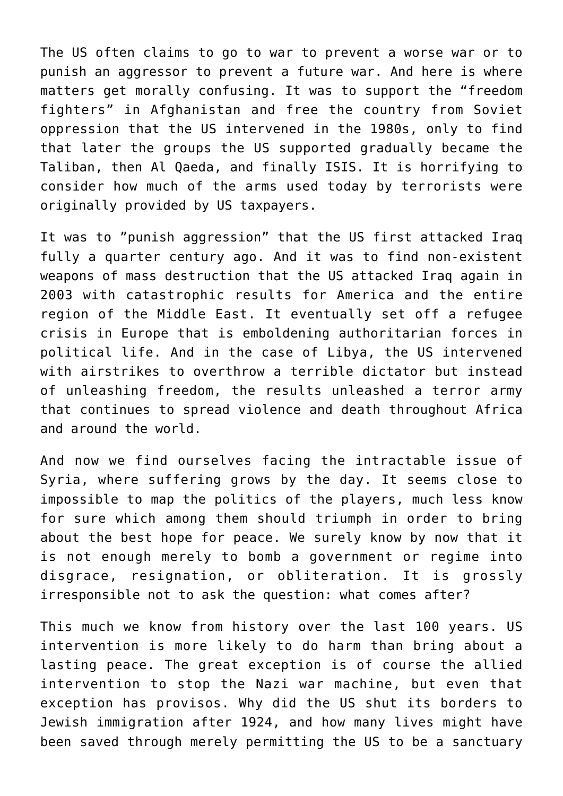The US often claims to go to war to prevent a worse war or to punish an aggressor to prevent a future war. And here is where matters get morally confusing. It was to support the "freedom fighters" in Afghanistan and free the country from Soviet oppression that the US intervened in the 1980s, only to find that later the groups the US supported gradually became the Taliban, then Al Qaeda, and finally ISIS. It is horrifying to consider how much of the arms used today by terrorists were originally provided by US taxpayers.

It was to "punish aggression" that the US first attacked Iraq fully a quarter century ago. And it was to find non-existent weapons of mass destruction that the US attacked Iraq again in 2003 with catastrophic results for America and the entire region of the Middle East. It eventually set off a refugee crisis in Europe that is emboldening authoritarian forces in political life. And in the case of Libya, the US intervened with airstrikes to overthrow a terrible dictator but instead of unleashing freedom, the results unleashed a terror army that continues to spread violence and death throughout Africa and around the world.

And now we find ourselves facing the intractable issue of Syria, where suffering grows by the day. It seems close to impossible to map the politics of the players, much less know for sure which among them should triumph in order to bring about the best hope for peace. We surely know by now that it is not enough merely to bomb a government or regime into disgrace, resignation, or obliteration. It is grossly irresponsible not to ask the question: what comes after?

This much we know from history over the last 100 years. US intervention is more likely to do harm than bring about a lasting peace. The great exception is of course the allied intervention to stop the Nazi war machine, but even that exception has provisos. Why did the US shut its borders to Jewish immigration after 1924, and how many lives might have been saved through merely permitting the US to be a sanctuary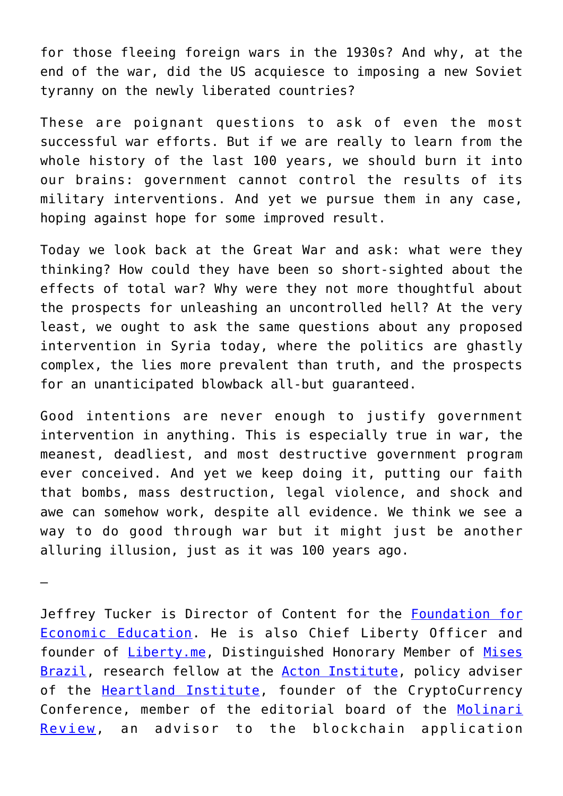for those fleeing foreign wars in the 1930s? And why, at the end of the war, did the US acquiesce to imposing a new Soviet tyranny on the newly liberated countries?

These are poignant questions to ask of even the most successful war efforts. But if we are really to learn from the whole history of the last 100 years, we should burn it into our brains: government cannot control the results of its military interventions. And yet we pursue them in any case, hoping against hope for some improved result.

Today we look back at the Great War and ask: what were they thinking? How could they have been so short-sighted about the effects of total war? Why were they not more thoughtful about the prospects for unleashing an uncontrolled hell? At the very least, we ought to ask the same questions about any proposed intervention in Syria today, where the politics are ghastly complex, the lies more prevalent than truth, and the prospects for an unanticipated blowback all-but guaranteed.

Good intentions are never enough to justify government intervention in anything. This is especially true in war, the meanest, deadliest, and most destructive government program ever conceived. And yet we keep doing it, putting our faith that bombs, mass destruction, legal violence, and shock and awe can somehow work, despite all evidence. We think we see a way to do good through war but it might just be another alluring illusion, just as it was 100 years ago.

—

Jeffrey Tucker is Director of Content for the **[Foundation for](https://fee.org/)** [Economic Education.](https://fee.org/) He is also Chief Liberty Officer and founder of **Liberty.me**, Distinguished Honorary Member of [Mises](http://www.mises.org.br/) [Brazil,](http://www.mises.org.br/) research fellow at the **[Acton Institute](http://www.acton.org/)**, policy adviser of the [Heartland Institute](https://www.heartland.org/index.html), founder of the CryptoCurrency Conference, member of the editorial board of the [Molinari](http://praxeology.net/molinari-review.htm) [Review,](http://praxeology.net/molinari-review.htm) an advisor to the blockchain application